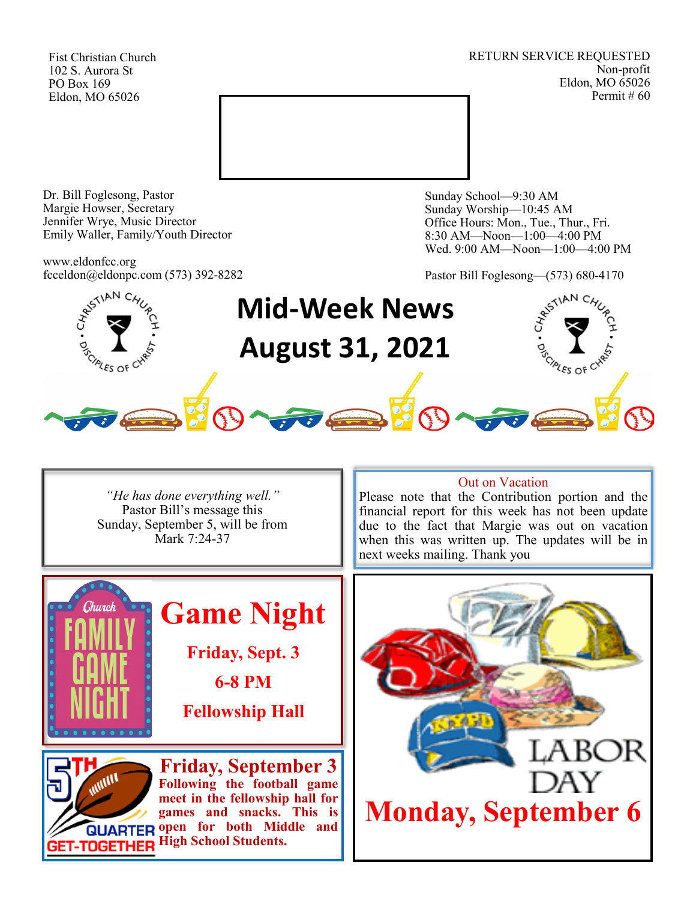Fist Christian Church 102 S. Aurora St PO Box 169 Eldon, MO 65026

RETURN SERVICE REQUESTED Non-profit Eldon, MO 65026 Permit # 60



Dr. Bill Foglesong, Pastor Margie Howser, Secretary Jennifer Wrye, Music Director Emily Waller, Family/Youth Director

www.eldonfcc.org fcceldon@eldonpc.com (573) 392-8282 Sunday School—9:30 AM Sunday Worship—10:45 AM Office Hours: Mon., Tue., Thur., Fri. 8:30 AM—Noon—1:00—4:00 PM Wed. 9:00 AM—Noon—1:00—4:00 PM

Pastor Bill Foglesong—(573) 680-4170



*"He has done everything well."* Pastor Bill's message this Sunday, September 5, will be from Mark 7:24-37



**games and snacks. This is QUARTER open for both Middle and GET-TOGETHER High School Students.** 

### Out on Vacation

Please note that the Contribution portion and the financial report for this week has not been update due to the fact that Margie was out on vacation when this was written up. The updates will be in next weeks mailing. Thank you